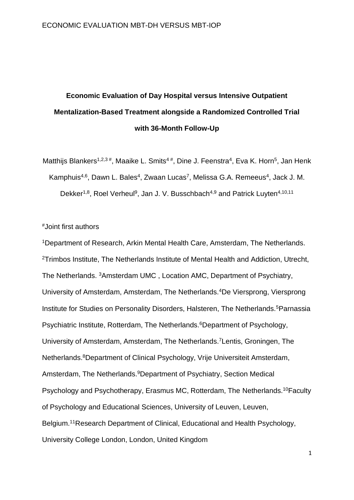# **Economic Evaluation of Day Hospital versus Intensive Outpatient Mentalization-Based Treatment alongside a Randomized Controlled Trial with 36-Month Follow-Up**

Matthijs Blankers<sup>1,2,3#</sup>, Maaike L. Smits<sup>4#</sup>, Dine J. Feenstra<sup>4</sup>, Eva K. Horn<sup>5</sup>, Jan Henk Kamphuis<sup>4,6</sup>, Dawn L. Bales<sup>4</sup>, Zwaan Lucas<sup>7</sup>, Melissa G.A. Remeeus<sup>4</sup>, Jack J. M. Dekker<sup>1,8</sup>, Roel Verheul<sup>9</sup>, Jan J. V. Busschbach<sup>4,9</sup> and Patrick Luyten<sup>4,10,11</sup>

#Joint first authors

<sup>1</sup>Department of Research, Arkin Mental Health Care, Amsterdam, The Netherlands. <sup>2</sup>Trimbos Institute, The Netherlands Institute of Mental Health and Addiction, Utrecht, The Netherlands. <sup>3</sup>Amsterdam UMC , Location AMC, Department of Psychiatry, University of Amsterdam, Amsterdam, The Netherlands.<sup>4</sup>De Viersprong, Viersprong Institute for Studies on Personality Disorders, Halsteren, The Netherlands.<sup>5</sup>Parnassia Psychiatric Institute, Rotterdam, The Netherlands.<sup>6</sup>Department of Psychology, University of Amsterdam, Amsterdam, The Netherlands.<sup>7</sup>Lentis, Groningen, The Netherlands.<sup>8</sup>Department of Clinical Psychology, Vrije Universiteit Amsterdam, Amsterdam, The Netherlands.<sup>9</sup>Department of Psychiatry, Section Medical Psychology and Psychotherapy, Erasmus MC, Rotterdam, The Netherlands.<sup>10</sup>Faculty of Psychology and Educational Sciences, University of Leuven, Leuven, Belgium.<sup>11</sup>Research Department of Clinical, Educational and Health Psychology, University College London, London, United Kingdom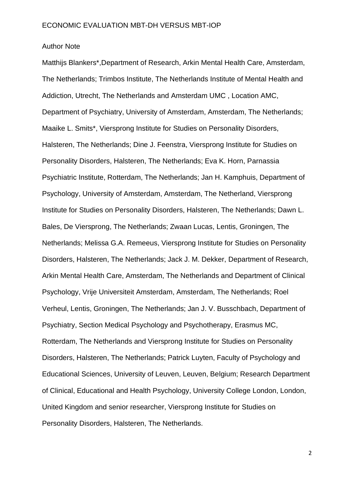# Author Note

Matthijs Blankers\*,Department of Research, Arkin Mental Health Care, Amsterdam, The Netherlands; Trimbos Institute, The Netherlands Institute of Mental Health and Addiction, Utrecht, The Netherlands and Amsterdam UMC , Location AMC, Department of Psychiatry, University of Amsterdam, Amsterdam, The Netherlands; Maaike L. Smits\*, Viersprong Institute for Studies on Personality Disorders, Halsteren, The Netherlands; Dine J. Feenstra, Viersprong Institute for Studies on Personality Disorders, Halsteren, The Netherlands; Eva K. Horn, Parnassia Psychiatric Institute, Rotterdam, The Netherlands; Jan H. Kamphuis, Department of Psychology, University of Amsterdam, Amsterdam, The Netherland, Viersprong Institute for Studies on Personality Disorders, Halsteren, The Netherlands; Dawn L. Bales, De Viersprong, The Netherlands; Zwaan Lucas, Lentis, Groningen, The Netherlands; Melissa G.A. Remeeus, Viersprong Institute for Studies on Personality Disorders, Halsteren, The Netherlands; Jack J. M. Dekker, Department of Research, Arkin Mental Health Care, Amsterdam, The Netherlands and Department of Clinical Psychology, Vrije Universiteit Amsterdam, Amsterdam, The Netherlands; Roel Verheul, Lentis, Groningen, The Netherlands; Jan J. V. Busschbach, Department of Psychiatry, Section Medical Psychology and Psychotherapy, Erasmus MC, Rotterdam, The Netherlands and Viersprong Institute for Studies on Personality Disorders, Halsteren, The Netherlands; Patrick Luyten, Faculty of Psychology and Educational Sciences, University of Leuven, Leuven, Belgium; Research Department of Clinical, Educational and Health Psychology, University College London, London, United Kingdom and senior researcher, Viersprong Institute for Studies on Personality Disorders, Halsteren, The Netherlands.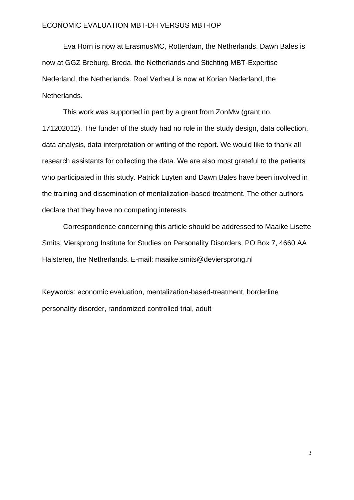Eva Horn is now at ErasmusMC, Rotterdam, the Netherlands. Dawn Bales is now at GGZ Breburg, Breda, the Netherlands and Stichting MBT-Expertise Nederland, the Netherlands. Roel Verheul is now at Korian Nederland, the Netherlands.

This work was supported in part by a grant from ZonMw (grant no. 171202012). The funder of the study had no role in the study design, data collection, data analysis, data interpretation or writing of the report. We would like to thank all research assistants for collecting the data. We are also most grateful to the patients who participated in this study. Patrick Luyten and Dawn Bales have been involved in the training and dissemination of mentalization-based treatment. The other authors declare that they have no competing interests.

Correspondence concerning this article should be addressed to Maaike Lisette Smits, Viersprong Institute for Studies on Personality Disorders, PO Box 7, 4660 AA Halsteren, the Netherlands. E-mail: maaike.smits@deviersprong.nl

Keywords: economic evaluation, mentalization-based-treatment, borderline personality disorder, randomized controlled trial, adult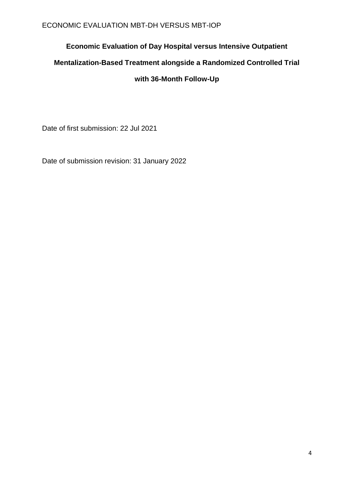# **Economic Evaluation of Day Hospital versus Intensive Outpatient**

# **Mentalization-Based Treatment alongside a Randomized Controlled Trial**

# **with 36-Month Follow-Up**

Date of first submission: 22 Jul 2021

Date of submission revision: 31 January 2022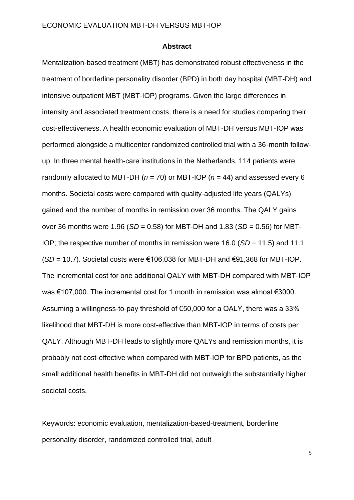#### **Abstract**

Mentalization-based treatment (MBT) has demonstrated robust effectiveness in the treatment of borderline personality disorder (BPD) in both day hospital (MBT-DH) and intensive outpatient MBT (MBT-IOP) programs. Given the large differences in intensity and associated treatment costs, there is a need for studies comparing their cost-effectiveness. A health economic evaluation of MBT-DH versus MBT-IOP was performed alongside a multicenter randomized controlled trial with a 36-month followup. In three mental health-care institutions in the Netherlands, 114 patients were randomly allocated to MBT-DH ( $n = 70$ ) or MBT-IOP ( $n = 44$ ) and assessed every 6 months. Societal costs were compared with quality-adjusted life years (QALYs) gained and the number of months in remission over 36 months. The QALY gains over 36 months were 1.96 (*SD* = 0.58) for MBT-DH and 1.83 (*SD* = 0.56) for MBT-IOP; the respective number of months in remission were 16.0 (*SD* = 11.5) and 11.1 (*SD* = 10.7). Societal costs were €106,038 for MBT-DH and €91,368 for MBT-IOP. The incremental cost for one additional QALY with MBT-DH compared with MBT-IOP was €107,000. The incremental cost for 1 month in remission was almost €3000. Assuming a willingness-to-pay threshold of €50,000 for a QALY, there was a 33% likelihood that MBT-DH is more cost-effective than MBT-IOP in terms of costs per QALY. Although MBT-DH leads to slightly more QALYs and remission months, it is probably not cost-effective when compared with MBT-IOP for BPD patients, as the small additional health benefits in MBT-DH did not outweigh the substantially higher societal costs.

Keywords: economic evaluation, mentalization-based-treatment, borderline personality disorder, randomized controlled trial, adult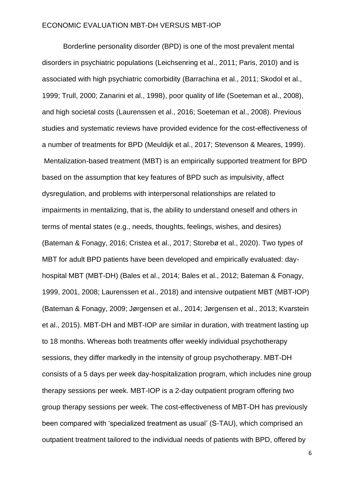Borderline personality disorder (BPD) is one of the most prevalent mental disorders in psychiatric populations (Leichsenring et al., 2011; Paris, 2010) and is associated with high psychiatric comorbidity (Barrachina et al., 2011; Skodol et al., 1999; Trull, 2000; Zanarini et al., 1998), poor quality of life (Soeteman et al., 2008), and high societal costs (Laurenssen et al., 2016; Soeteman et al., 2008). Previous studies and systematic reviews have provided evidence for the cost-effectiveness of a number of treatments for BPD (Meuldijk et al., 2017; Stevenson & Meares, 1999). Mentalization-based treatment (MBT) is an empirically supported treatment for BPD based on the assumption that key features of BPD such as impulsivity, affect dysregulation, and problems with interpersonal relationships are related to impairments in mentalizing, that is, the ability to understand oneself and others in terms of mental states (e.g., needs, thoughts, feelings, wishes, and desires) (Bateman & Fonagy, 2016; Cristea et al., 2017; Storebø et al., 2020). Two types of MBT for adult BPD patients have been developed and empirically evaluated: dayhospital MBT (MBT-DH) (Bales et al., 2014; Bales et al., 2012; Bateman & Fonagy, 1999, 2001, 2008; Laurenssen et al., 2018) and intensive outpatient MBT (MBT-IOP) (Bateman & Fonagy, 2009; Jørgensen et al., 2014; Jørgensen et al., 2013; Kvarstein et al., 2015). MBT-DH and MBT-IOP are similar in duration, with treatment lasting up to 18 months. Whereas both treatments offer weekly individual psychotherapy sessions, they differ markedly in the intensity of group psychotherapy. MBT-DH consists of a 5 days per week day-hospitalization program, which includes nine group therapy sessions per week. MBT-IOP is a 2-day outpatient program offering two group therapy sessions per week. The cost-effectiveness of MBT-DH has previously been compared with 'specialized treatment as usual' (S-TAU), which comprised an outpatient treatment tailored to the individual needs of patients with BPD, offered by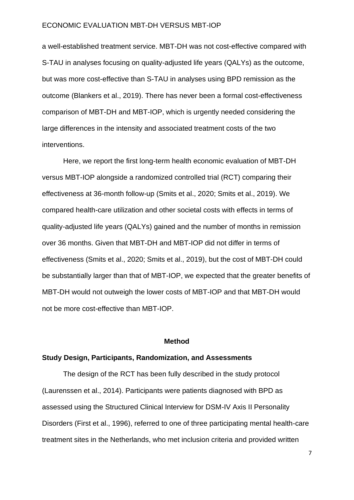a well-established treatment service. MBT-DH was not cost-effective compared with S-TAU in analyses focusing on quality-adjusted life years (QALYs) as the outcome, but was more cost-effective than S-TAU in analyses using BPD remission as the outcome (Blankers et al., 2019). There has never been a formal cost-effectiveness comparison of MBT-DH and MBT-IOP, which is urgently needed considering the large differences in the intensity and associated treatment costs of the two interventions.

Here, we report the first long-term health economic evaluation of MBT-DH versus MBT-IOP alongside a randomized controlled trial (RCT) comparing their effectiveness at 36-month follow-up (Smits et al., 2020; Smits et al., 2019). We compared health-care utilization and other societal costs with effects in terms of quality-adjusted life years (QALYs) gained and the number of months in remission over 36 months. Given that MBT-DH and MBT-IOP did not differ in terms of effectiveness (Smits et al., 2020; Smits et al., 2019), but the cost of MBT-DH could be substantially larger than that of MBT-IOP, we expected that the greater benefits of MBT-DH would not outweigh the lower costs of MBT-IOP and that MBT-DH would not be more cost-effective than MBT-IOP.

#### **Method**

#### **Study Design, Participants, Randomization, and Assessments**

The design of the RCT has been fully described in the study protocol (Laurenssen et al., 2014). Participants were patients diagnosed with BPD as assessed using the Structured Clinical Interview for DSM-IV Axis II Personality Disorders (First et al., 1996), referred to one of three participating mental health-care treatment sites in the Netherlands, who met inclusion criteria and provided written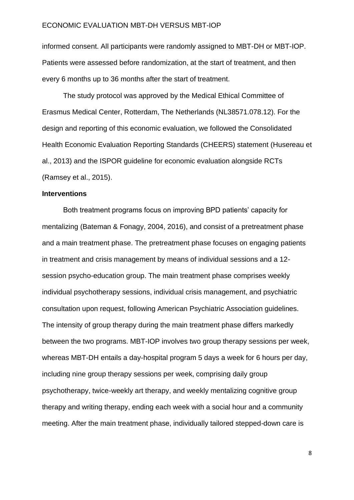informed consent. All participants were randomly assigned to MBT-DH or MBT-IOP. Patients were assessed before randomization, at the start of treatment, and then every 6 months up to 36 months after the start of treatment.

The study protocol was approved by the Medical Ethical Committee of Erasmus Medical Center, Rotterdam, The Netherlands (NL38571.078.12). For the design and reporting of this economic evaluation, we followed the Consolidated Health Economic Evaluation Reporting Standards (CHEERS) statement (Husereau et al., 2013) and the ISPOR guideline for economic evaluation alongside RCTs (Ramsey et al., 2015).

# **Interventions**

Both treatment programs focus on improving BPD patients' capacity for mentalizing (Bateman & Fonagy, 2004, 2016), and consist of a pretreatment phase and a main treatment phase. The pretreatment phase focuses on engaging patients in treatment and crisis management by means of individual sessions and a 12 session psycho-education group. The main treatment phase comprises weekly individual psychotherapy sessions, individual crisis management, and psychiatric consultation upon request, following American Psychiatric Association guidelines. The intensity of group therapy during the main treatment phase differs markedly between the two programs. MBT-IOP involves two group therapy sessions per week, whereas MBT-DH entails a day-hospital program 5 days a week for 6 hours per day, including nine group therapy sessions per week, comprising daily group psychotherapy, twice-weekly art therapy, and weekly mentalizing cognitive group therapy and writing therapy, ending each week with a social hour and a community meeting. After the main treatment phase, individually tailored stepped-down care is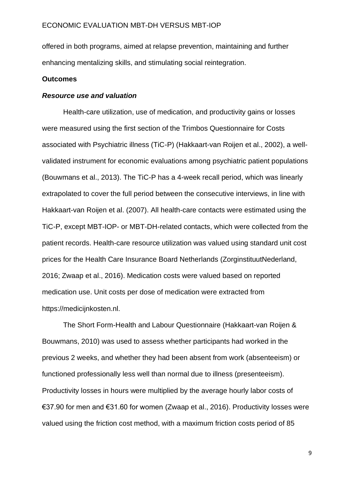offered in both programs, aimed at relapse prevention, maintaining and further enhancing mentalizing skills, and stimulating social reintegration.

#### **Outcomes**

# *Resource use and valuation*

Health-care utilization, use of medication, and productivity gains or losses were measured using the first section of the Trimbos Questionnaire for Costs associated with Psychiatric illness (TiC-P) (Hakkaart-van Roijen et al., 2002), a wellvalidated instrument for economic evaluations among psychiatric patient populations (Bouwmans et al., 2013). The TiC-P has a 4-week recall period, which was linearly extrapolated to cover the full period between the consecutive interviews, in line with Hakkaart-van Roijen et al. (2007). All health-care contacts were estimated using the TiC-P, except MBT-IOP- or MBT-DH-related contacts, which were collected from the patient records. Health-care resource utilization was valued using standard unit cost prices for the Health Care Insurance Board Netherlands (ZorginstituutNederland, 2016; Zwaap et al., 2016). Medication costs were valued based on reported medication use. Unit costs per dose of medication were extracted from https://medicijnkosten.nl.

The Short Form-Health and Labour Questionnaire (Hakkaart-van Roijen & Bouwmans, 2010) was used to assess whether participants had worked in the previous 2 weeks, and whether they had been absent from work (absenteeism) or functioned professionally less well than normal due to illness (presenteeism). Productivity losses in hours were multiplied by the average hourly labor costs of €37.90 for men and €31.60 for women (Zwaap et al., 2016). Productivity losses were valued using the friction cost method, with a maximum friction costs period of 85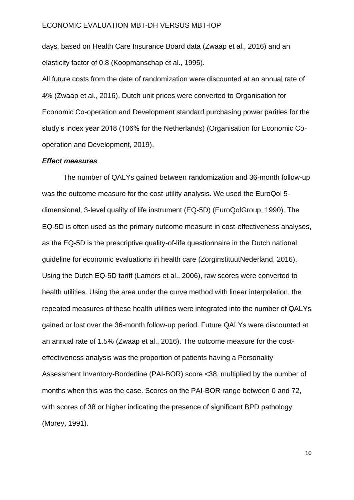days, based on Health Care Insurance Board data (Zwaap et al., 2016) and an elasticity factor of 0.8 (Koopmanschap et al., 1995).

All future costs from the date of randomization were discounted at an annual rate of 4% (Zwaap et al., 2016). Dutch unit prices were converted to Organisation for Economic Co-operation and Development standard purchasing power parities for the study's index year 2018 (106% for the Netherlands) (Organisation for Economic Cooperation and Development, 2019).

#### *Effect measures*

The number of QALYs gained between randomization and 36-month follow-up was the outcome measure for the cost-utility analysis. We used the EuroQol 5 dimensional, 3-level quality of life instrument (EQ-5D) (EuroQolGroup, 1990). The EQ-5D is often used as the primary outcome measure in cost-effectiveness analyses, as the EQ-5D is the prescriptive quality-of-life questionnaire in the Dutch national guideline for economic evaluations in health care (ZorginstituutNederland, 2016). Using the Dutch EQ-5D tariff (Lamers et al., 2006), raw scores were converted to health utilities. Using the area under the curve method with linear interpolation, the repeated measures of these health utilities were integrated into the number of QALYs gained or lost over the 36-month follow-up period. Future QALYs were discounted at an annual rate of 1.5% (Zwaap et al., 2016). The outcome measure for the costeffectiveness analysis was the proportion of patients having a Personality Assessment Inventory-Borderline (PAI-BOR) score <38, multiplied by the number of months when this was the case. Scores on the PAI-BOR range between 0 and 72, with scores of 38 or higher indicating the presence of significant BPD pathology (Morey, 1991).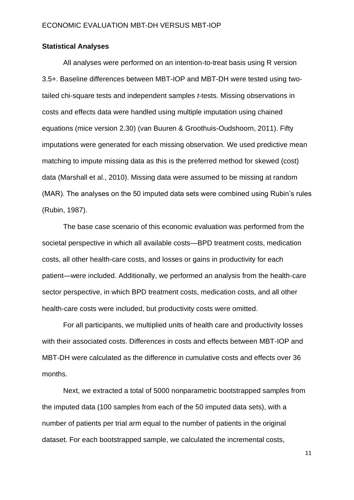# **Statistical Analyses**

All analyses were performed on an intention-to-treat basis using R version 3.5+. Baseline differences between MBT-IOP and MBT-DH were tested using twotailed chi-square tests and independent samples *t*-tests. Missing observations in costs and effects data were handled using multiple imputation using chained equations (mice version 2.30) (van Buuren & Groothuis-Oudshoorn, 2011). Fifty imputations were generated for each missing observation. We used predictive mean matching to impute missing data as this is the preferred method for skewed (cost) data (Marshall et al., 2010). Missing data were assumed to be missing at random (MAR). The analyses on the 50 imputed data sets were combined using Rubin's rules (Rubin, 1987).

The base case scenario of this economic evaluation was performed from the societal perspective in which all available costs—BPD treatment costs, medication costs, all other health-care costs, and losses or gains in productivity for each patient—were included. Additionally, we performed an analysis from the health-care sector perspective, in which BPD treatment costs, medication costs, and all other health-care costs were included, but productivity costs were omitted.

For all participants, we multiplied units of health care and productivity losses with their associated costs. Differences in costs and effects between MBT-IOP and MBT-DH were calculated as the difference in cumulative costs and effects over 36 months.

Next, we extracted a total of 5000 nonparametric bootstrapped samples from the imputed data (100 samples from each of the 50 imputed data sets), with a number of patients per trial arm equal to the number of patients in the original dataset. For each bootstrapped sample, we calculated the incremental costs,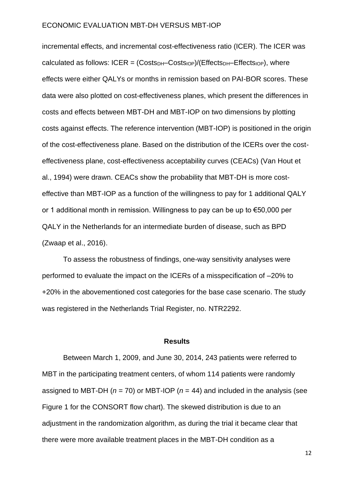incremental effects, and incremental cost-effectiveness ratio (ICER). The ICER was calculated as follows: ICER =  $(CostSDH-CostSIOP)/(EffectSDH–EffectSIOP)$ , where effects were either QALYs or months in remission based on PAI-BOR scores. These data were also plotted on cost-effectiveness planes, which present the differences in costs and effects between MBT-DH and MBT-IOP on two dimensions by plotting costs against effects. The reference intervention (MBT-IOP) is positioned in the origin of the cost-effectiveness plane. Based on the distribution of the ICERs over the costeffectiveness plane, cost-effectiveness acceptability curves (CEACs) (Van Hout et al., 1994) were drawn. CEACs show the probability that MBT-DH is more costeffective than MBT-IOP as a function of the willingness to pay for 1 additional QALY or 1 additional month in remission. Willingness to pay can be up to €50,000 per QALY in the Netherlands for an intermediate burden of disease, such as BPD (Zwaap et al., 2016).

To assess the robustness of findings, one-way sensitivity analyses were performed to evaluate the impact on the ICERs of a misspecification of –20% to +20% in the abovementioned cost categories for the base case scenario. The study was registered in the Netherlands Trial Register, no. NTR2292.

#### **Results**

Between March 1, 2009, and June 30, 2014, 243 patients were referred to MBT in the participating treatment centers, of whom 114 patients were randomly assigned to MBT-DH ( $n = 70$ ) or MBT-IOP ( $n = 44$ ) and included in the analysis (see Figure 1 for the CONSORT flow chart). The skewed distribution is due to an adjustment in the randomization algorithm, as during the trial it became clear that there were more available treatment places in the MBT-DH condition as a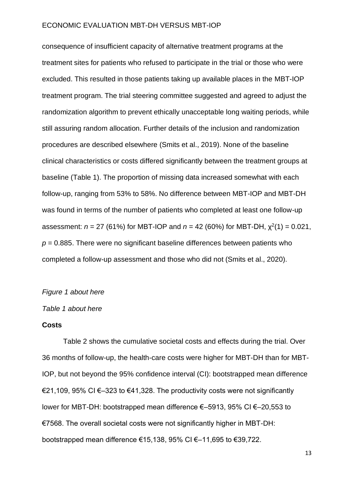consequence of insufficient capacity of alternative treatment programs at the treatment sites for patients who refused to participate in the trial or those who were excluded. This resulted in those patients taking up available places in the MBT-IOP treatment program. The trial steering committee suggested and agreed to adjust the randomization algorithm to prevent ethically unacceptable long waiting periods, while still assuring random allocation. Further details of the inclusion and randomization procedures are described elsewhere (Smits et al., 2019). None of the baseline clinical characteristics or costs differed significantly between the treatment groups at baseline (Table 1). The proportion of missing data increased somewhat with each follow-up, ranging from 53% to 58%. No difference between MBT-IOP and MBT-DH was found in terms of the number of patients who completed at least one follow-up assessment:  $n = 27$  (61%) for MBT-IOP and  $n = 42$  (60%) for MBT-DH,  $\chi^2(1) = 0.021$ , *p* = 0.885. There were no significant baseline differences between patients who completed a follow-up assessment and those who did not (Smits et al., 2020).

#### *Figure 1 about here*

### *Table 1 about here*

#### **Costs**

Table 2 shows the cumulative societal costs and effects during the trial. Over 36 months of follow-up, the health-care costs were higher for MBT-DH than for MBT-IOP, but not beyond the 95% confidence interval (CI): bootstrapped mean difference €21,109, 95% CI €–323 to €41,328. The productivity costs were not significantly lower for MBT-DH: bootstrapped mean difference €–5913, 95% CI €–20,553 to €7568. The overall societal costs were not significantly higher in MBT-DH: bootstrapped mean difference €15,138, 95% CI €–11,695 to €39,722.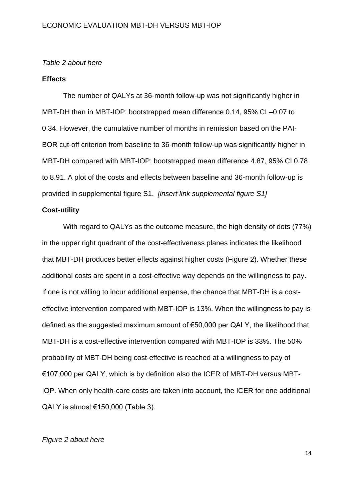# *Table 2 about here*

# **Effects**

The number of QALYs at 36-month follow-up was not significantly higher in MBT-DH than in MBT-IOP: bootstrapped mean difference 0.14, 95% CI –0.07 to 0.34. However, the cumulative number of months in remission based on the PAI-BOR cut-off criterion from baseline to 36-month follow-up was significantly higher in MBT-DH compared with MBT-IOP: bootstrapped mean difference 4.87, 95% CI 0.78 to 8.91. A plot of the costs and effects between baseline and 36-month follow-up is provided in supplemental figure S1. *[insert link supplemental figure S1]* 

### **Cost-utility**

With regard to QALYs as the outcome measure, the high density of dots (77%) in the upper right quadrant of the cost-effectiveness planes indicates the likelihood that MBT-DH produces better effects against higher costs (Figure 2). Whether these additional costs are spent in a cost-effective way depends on the willingness to pay. If one is not willing to incur additional expense, the chance that MBT-DH is a costeffective intervention compared with MBT-IOP is 13%. When the willingness to pay is defined as the suggested maximum amount of €50,000 per QALY, the likelihood that MBT-DH is a cost-effective intervention compared with MBT-IOP is 33%. The 50% probability of MBT-DH being cost-effective is reached at a willingness to pay of €107,000 per QALY, which is by definition also the ICER of MBT-DH versus MBT-IOP. When only health-care costs are taken into account, the ICER for one additional QALY is almost €150,000 (Table 3).

# *Figure 2 about here*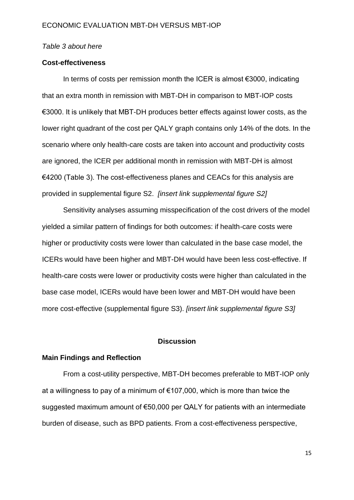# *Table 3 about here*

### **Cost-effectiveness**

In terms of costs per remission month the ICER is almost  $\epsilon$ 3000, indicating that an extra month in remission with MBT-DH in comparison to MBT-IOP costs €3000. It is unlikely that MBT-DH produces better effects against lower costs, as the lower right quadrant of the cost per QALY graph contains only 14% of the dots. In the scenario where only health-care costs are taken into account and productivity costs are ignored, the ICER per additional month in remission with MBT-DH is almost €4200 (Table 3). The cost-effectiveness planes and CEACs for this analysis are provided in supplemental figure S2. *[insert link supplemental figure S2]*

Sensitivity analyses assuming misspecification of the cost drivers of the model yielded a similar pattern of findings for both outcomes: if health-care costs were higher or productivity costs were lower than calculated in the base case model, the ICERs would have been higher and MBT-DH would have been less cost-effective. If health-care costs were lower or productivity costs were higher than calculated in the base case model, ICERs would have been lower and MBT-DH would have been more cost-effective (supplemental figure S3). *[insert link supplemental figure S3]*

### **Discussion**

# **Main Findings and Reflection**

From a cost-utility perspective, MBT-DH becomes preferable to MBT-IOP only at a willingness to pay of a minimum of €107,000, which is more than twice the suggested maximum amount of €50,000 per QALY for patients with an intermediate burden of disease, such as BPD patients. From a cost-effectiveness perspective,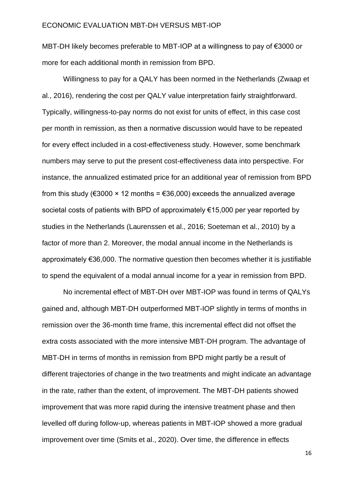MBT-DH likely becomes preferable to MBT-IOP at a willingness to pay of €3000 or more for each additional month in remission from BPD.

Willingness to pay for a QALY has been normed in the Netherlands (Zwaap et al., 2016), rendering the cost per QALY value interpretation fairly straightforward. Typically, willingness-to-pay norms do not exist for units of effect, in this case cost per month in remission, as then a normative discussion would have to be repeated for every effect included in a cost-effectiveness study. However, some benchmark numbers may serve to put the present cost-effectiveness data into perspective. For instance, the annualized estimated price for an additional year of remission from BPD from this study ( $\epsilon$ 3000 × 12 months =  $\epsilon$ 36,000) exceeds the annualized average societal costs of patients with BPD of approximately €15,000 per year reported by studies in the Netherlands (Laurenssen et al., 2016; Soeteman et al., 2010) by a factor of more than 2. Moreover, the modal annual income in the Netherlands is approximately €36,000. The normative question then becomes whether it is justifiable to spend the equivalent of a modal annual income for a year in remission from BPD.

No incremental effect of MBT-DH over MBT-IOP was found in terms of QALYs gained and, although MBT-DH outperformed MBT-IOP slightly in terms of months in remission over the 36-month time frame, this incremental effect did not offset the extra costs associated with the more intensive MBT-DH program. The advantage of MBT-DH in terms of months in remission from BPD might partly be a result of different trajectories of change in the two treatments and might indicate an advantage in the rate, rather than the extent, of improvement. The MBT-DH patients showed improvement that was more rapid during the intensive treatment phase and then levelled off during follow-up, whereas patients in MBT-IOP showed a more gradual improvement over time (Smits et al., 2020). Over time, the difference in effects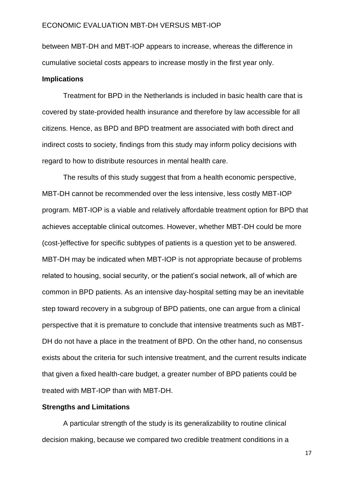between MBT-DH and MBT-IOP appears to increase, whereas the difference in cumulative societal costs appears to increase mostly in the first year only.

#### **Implications**

Treatment for BPD in the Netherlands is included in basic health care that is covered by state-provided health insurance and therefore by law accessible for all citizens. Hence, as BPD and BPD treatment are associated with both direct and indirect costs to society, findings from this study may inform policy decisions with regard to how to distribute resources in mental health care.

The results of this study suggest that from a health economic perspective, MBT-DH cannot be recommended over the less intensive, less costly MBT-IOP program. MBT-IOP is a viable and relatively affordable treatment option for BPD that achieves acceptable clinical outcomes. However, whether MBT-DH could be more (cost-)effective for specific subtypes of patients is a question yet to be answered. MBT-DH may be indicated when MBT-IOP is not appropriate because of problems related to housing, social security, or the patient's social network, all of which are common in BPD patients. As an intensive day-hospital setting may be an inevitable step toward recovery in a subgroup of BPD patients, one can argue from a clinical perspective that it is premature to conclude that intensive treatments such as MBT-DH do not have a place in the treatment of BPD. On the other hand, no consensus exists about the criteria for such intensive treatment, and the current results indicate that given a fixed health-care budget, a greater number of BPD patients could be treated with MBT-IOP than with MBT-DH.

# **Strengths and Limitations**

A particular strength of the study is its generalizability to routine clinical decision making, because we compared two credible treatment conditions in a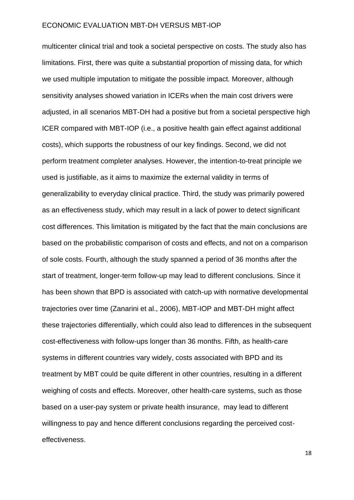multicenter clinical trial and took a societal perspective on costs. The study also has limitations. First, there was quite a substantial proportion of missing data, for which we used multiple imputation to mitigate the possible impact. Moreover, although sensitivity analyses showed variation in ICERs when the main cost drivers were adjusted, in all scenarios MBT-DH had a positive but from a societal perspective high ICER compared with MBT-IOP (i.e., a positive health gain effect against additional costs), which supports the robustness of our key findings. Second, we did not perform treatment completer analyses. However, the intention-to-treat principle we used is justifiable, as it aims to maximize the external validity in terms of generalizability to everyday clinical practice. Third, the study was primarily powered as an effectiveness study, which may result in a lack of power to detect significant cost differences. This limitation is mitigated by the fact that the main conclusions are based on the probabilistic comparison of costs and effects, and not on a comparison of sole costs. Fourth, although the study spanned a period of 36 months after the start of treatment, longer-term follow-up may lead to different conclusions. Since it has been shown that BPD is associated with catch-up with normative developmental trajectories over time (Zanarini et al., 2006), MBT-IOP and MBT-DH might affect these trajectories differentially, which could also lead to differences in the subsequent cost-effectiveness with follow-ups longer than 36 months. Fifth, as health-care systems in different countries vary widely, costs associated with BPD and its treatment by MBT could be quite different in other countries, resulting in a different weighing of costs and effects. Moreover, other health-care systems, such as those based on a user-pay system or private health insurance, may lead to different willingness to pay and hence different conclusions regarding the perceived costeffectiveness.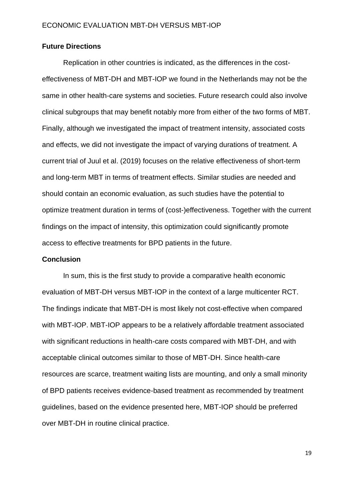# **Future Directions**

Replication in other countries is indicated, as the differences in the costeffectiveness of MBT-DH and MBT-IOP we found in the Netherlands may not be the same in other health-care systems and societies. Future research could also involve clinical subgroups that may benefit notably more from either of the two forms of MBT. Finally, although we investigated the impact of treatment intensity, associated costs and effects, we did not investigate the impact of varying durations of treatment. A current trial of Juul et al. (2019) focuses on the relative effectiveness of short-term and long-term MBT in terms of treatment effects. Similar studies are needed and should contain an economic evaluation, as such studies have the potential to optimize treatment duration in terms of (cost-)effectiveness. Together with the current findings on the impact of intensity, this optimization could significantly promote access to effective treatments for BPD patients in the future.

# **Conclusion**

In sum, this is the first study to provide a comparative health economic evaluation of MBT-DH versus MBT-IOP in the context of a large multicenter RCT. The findings indicate that MBT-DH is most likely not cost-effective when compared with MBT-IOP. MBT-IOP appears to be a relatively affordable treatment associated with significant reductions in health-care costs compared with MBT-DH, and with acceptable clinical outcomes similar to those of MBT-DH. Since health-care resources are scarce, treatment waiting lists are mounting, and only a small minority of BPD patients receives evidence-based treatment as recommended by treatment guidelines, based on the evidence presented here, MBT-IOP should be preferred over MBT-DH in routine clinical practice.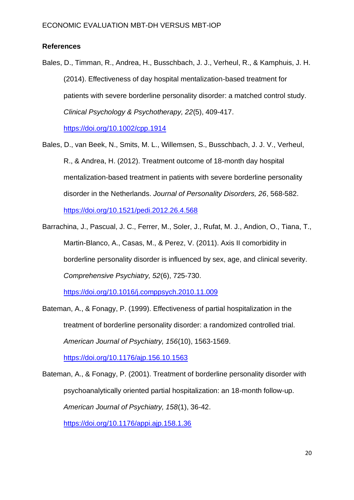# **References**

- Bales, D., Timman, R., Andrea, H., Busschbach, J. J., Verheul, R., & Kamphuis, J. H. (2014). Effectiveness of day hospital mentalization-based treatment for patients with severe borderline personality disorder: a matched control study. *Clinical Psychology & Psychotherapy, 22*(5), 409-417. <https://doi.org/10.1002/cpp.1914>
- Bales, D., van Beek, N., Smits, M. L., Willemsen, S., Busschbach, J. J. V., Verheul, R., & Andrea, H. (2012). Treatment outcome of 18-month day hospital mentalization-based treatment in patients with severe borderline personality disorder in the Netherlands. *Journal of Personality Disorders, 26*, 568-582. <https://doi.org/10.1521/pedi.2012.26.4.568>
- Barrachina, J., Pascual, J. C., Ferrer, M., Soler, J., Rufat, M. J., Andion, O., Tiana, T., Martin-Blanco, A., Casas, M., & Perez, V. (2011). Axis II comorbidity in borderline personality disorder is influenced by sex, age, and clinical severity. *Comprehensive Psychiatry, 52*(6), 725-730.

<https://doi.org/10.1016/j.comppsych.2010.11.009>

Bateman, A., & Fonagy, P. (1999). Effectiveness of partial hospitalization in the treatment of borderline personality disorder: a randomized controlled trial. *American Journal of Psychiatry, 156*(10), 1563-1569. <https://doi.org/10.1176/ajp.156.10.1563>

Bateman, A., & Fonagy, P. (2001). Treatment of borderline personality disorder with psychoanalytically oriented partial hospitalization: an 18-month follow-up. *American Journal of Psychiatry, 158*(1), 36-42. <https://doi.org/10.1176/appi.ajp.158.1.36>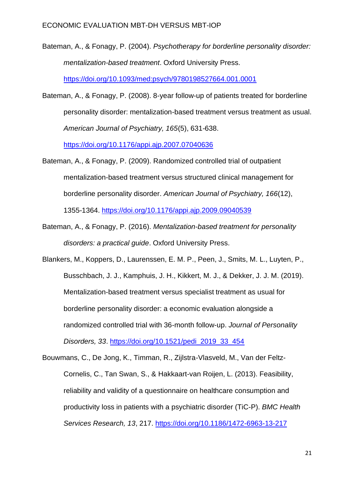Bateman, A., & Fonagy, P. (2004). *Psychotherapy for borderline personality disorder: mentalization-based treatment*. Oxford University Press.

<https://doi.org/10.1093/med:psych/9780198527664.001.0001>

Bateman, A., & Fonagy, P. (2008). 8-year follow-up of patients treated for borderline personality disorder: mentalization-based treatment versus treatment as usual. *American Journal of Psychiatry, 165*(5), 631-638.

<https://doi.org/10.1176/appi.ajp.2007.07040636>

- Bateman, A., & Fonagy, P. (2009). Randomized controlled trial of outpatient mentalization-based treatment versus structured clinical management for borderline personality disorder. *American Journal of Psychiatry, 166*(12), 1355-1364.<https://doi.org/10.1176/appi.ajp.2009.09040539>
- Bateman, A., & Fonagy, P. (2016). *Mentalization-based treatment for personality disorders: a practical guide*. Oxford University Press.
- Blankers, M., Koppers, D., Laurenssen, E. M. P., Peen, J., Smits, M. L., Luyten, P., Busschbach, J. J., Kamphuis, J. H., Kikkert, M. J., & Dekker, J. J. M. (2019). Mentalization-based treatment versus specialist treatment as usual for borderline personality disorder: a economic evaluation alongside a randomized controlled trial with 36-month follow-up. *Journal of Personality Disorders, 33*. [https://doi.org/10.1521/pedi\\_2019\\_33\\_454](https://doi.org/10.1521/pedi_2019_33_454)
- Bouwmans, C., De Jong, K., Timman, R., Zijlstra-Vlasveld, M., Van der Feltz-Cornelis, C., Tan Swan, S., & Hakkaart-van Roijen, L. (2013). Feasibility, reliability and validity of a questionnaire on healthcare consumption and productivity loss in patients with a psychiatric disorder (TiC-P). *BMC Health Services Research, 13*, 217.<https://doi.org/10.1186/1472-6963-13-217>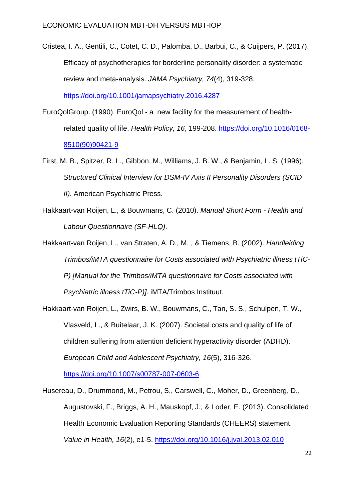- Cristea, I. A., Gentili, C., Cotet, C. D., Palomba, D., Barbui, C., & Cuijpers, P. (2017). Efficacy of psychotherapies for borderline personality disorder: a systematic review and meta-analysis. *JAMA Psychiatry, 74*(4), 319-328. <https://doi.org/10.1001/jamapsychiatry.2016.4287>
- EuroQolGroup. (1990). EuroQol a new facility for the measurement of healthrelated quality of life. *Health Policy, 16*, 199-208. [https://doi.org/10.1016/0168-](https://doi.org/10.1016/0168-8510(90)90421-9) [8510\(90\)90421-9](https://doi.org/10.1016/0168-8510(90)90421-9)
- First, M. B., Spitzer, R. L., Gibbon, M., Williams, J. B. W., & Benjamin, L. S. (1996). *Structured Clinical Interview for DSM-IV Axis II Personality Disorders (SCID II)*. American Psychiatric Press.
- Hakkaart-van Roijen, L., & Bouwmans, C. (2010). *Manual Short Form - Health and Labour Questionnaire (SF-HLQ)*.
- Hakkaart-van Roijen, L., van Straten, A. D., M. , & Tiemens, B. (2002). *Handleiding Trimbos/iMTA questionnaire for Costs associated with Psychiatric illness tTiC-P) [Manual for the Trimbos/iMTA questionnaire for Costs associated with Psychiatric illness tTiC-P)]*. iMTA/Trimbos Instituut.
- Hakkaart-van Roijen, L., Zwirs, B. W., Bouwmans, C., Tan, S. S., Schulpen, T. W., Vlasveld, L., & Buitelaar, J. K. (2007). Societal costs and quality of life of children suffering from attention deficient hyperactivity disorder (ADHD). *European Child and Adolescent Psychiatry, 16*(5), 316-326.

<https://doi.org/10.1007/s00787-007-0603-6>

Husereau, D., Drummond, M., Petrou, S., Carswell, C., Moher, D., Greenberg, D., Augustovski, F., Briggs, A. H., Mauskopf, J., & Loder, E. (2013). Consolidated Health Economic Evaluation Reporting Standards (CHEERS) statement. *Value in Health, 16*(2), e1-5.<https://doi.org/10.1016/j.jval.2013.02.010>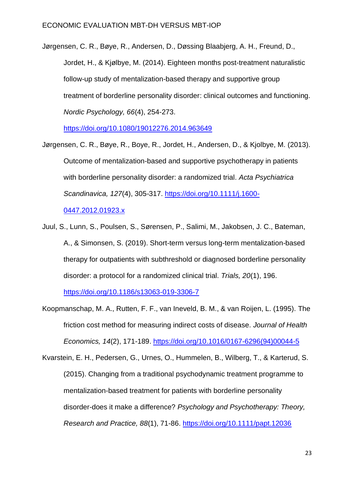Jørgensen, C. R., Bøye, R., Andersen, D., Døssing Blaabjerg, A. H., Freund, D., Jordet, H., & Kjølbye, M. (2014). Eighteen months post-treatment naturalistic follow-up study of mentalization-based therapy and supportive group treatment of borderline personality disorder: clinical outcomes and functioning. *Nordic Psychology, 66*(4), 254-273.

<https://doi.org/10.1080/19012276.2014.963649>

- Jørgensen, C. R., Bøye, R., Boye, R., Jordet, H., Andersen, D., & Kjolbye, M. (2013). Outcome of mentalization-based and supportive psychotherapy in patients with borderline personality disorder: a randomized trial. *Acta Psychiatrica Scandinavica, 127*(4), 305-317. [https://doi.org/10.1111/j.1600-](https://doi.org/10.1111/j.1600-0447.2012.01923.x) [0447.2012.01923.x](https://doi.org/10.1111/j.1600-0447.2012.01923.x)
- Juul, S., Lunn, S., Poulsen, S., Sørensen, P., Salimi, M., Jakobsen, J. C., Bateman, A., & Simonsen, S. (2019). Short-term versus long-term mentalization-based therapy for outpatients with subthreshold or diagnosed borderline personality disorder: a protocol for a randomized clinical trial. *Trials, 20*(1), 196.

<https://doi.org/10.1186/s13063-019-3306-7>

- Koopmanschap, M. A., Rutten, F. F., van Ineveld, B. M., & van Roijen, L. (1995). The friction cost method for measuring indirect costs of disease. *Journal of Health Economics, 14*(2), 171-189. [https://doi.org/10.1016/0167-6296\(94\)00044-5](https://doi.org/10.1016/0167-6296(94)00044-5)
- Kvarstein, E. H., Pedersen, G., Urnes, O., Hummelen, B., Wilberg, T., & Karterud, S. (2015). Changing from a traditional psychodynamic treatment programme to mentalization-based treatment for patients with borderline personality disorder-does it make a difference? *Psychology and Psychotherapy: Theory, Research and Practice, 88*(1), 71-86.<https://doi.org/10.1111/papt.12036>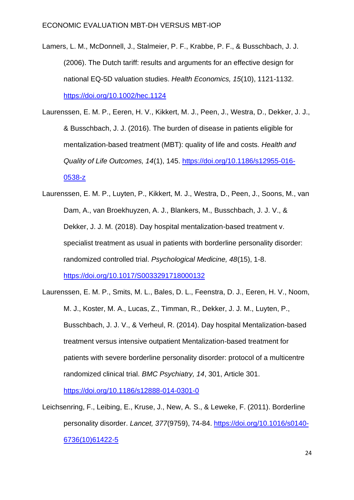- Lamers, L. M., McDonnell, J., Stalmeier, P. F., Krabbe, P. F., & Busschbach, J. J. (2006). The Dutch tariff: results and arguments for an effective design for national EQ-5D valuation studies. *Health Economics, 15*(10), 1121-1132. <https://doi.org/10.1002/hec.1124>
- Laurenssen, E. M. P., Eeren, H. V., Kikkert, M. J., Peen, J., Westra, D., Dekker, J. J., & Busschbach, J. J. (2016). The burden of disease in patients eligible for mentalization-based treatment (MBT): quality of life and costs. *Health and Quality of Life Outcomes, 14*(1), 145. [https://doi.org/10.1186/s12955-016-](https://doi.org/10.1186/s12955-016-0538-z) [0538-z](https://doi.org/10.1186/s12955-016-0538-z)
- Laurenssen, E. M. P., Luyten, P., Kikkert, M. J., Westra, D., Peen, J., Soons, M., van Dam, A., van Broekhuyzen, A. J., Blankers, M., Busschbach, J. J. V., & Dekker, J. J. M. (2018). Day hospital mentalization-based treatment v. specialist treatment as usual in patients with borderline personality disorder: randomized controlled trial. *Psychological Medicine, 48*(15), 1-8. <https://doi.org/10.1017/S0033291718000132>
- Laurenssen, E. M. P., Smits, M. L., Bales, D. L., Feenstra, D. J., Eeren, H. V., Noom, M. J., Koster, M. A., Lucas, Z., Timman, R., Dekker, J. J. M., Luyten, P., Busschbach, J. J. V., & Verheul, R. (2014). Day hospital Mentalization-based treatment versus intensive outpatient Mentalization-based treatment for patients with severe borderline personality disorder: protocol of a multicentre randomized clinical trial. *BMC Psychiatry, 14*, 301, Article 301.

<https://doi.org/10.1186/s12888-014-0301-0>

Leichsenring, F., Leibing, E., Kruse, J., New, A. S., & Leweke, F. (2011). Borderline personality disorder. *Lancet, 377*(9759), 74-84. [https://doi.org/10.1016/s0140-](https://doi.org/10.1016/s0140-6736(10)61422-5) [6736\(10\)61422-5](https://doi.org/10.1016/s0140-6736(10)61422-5)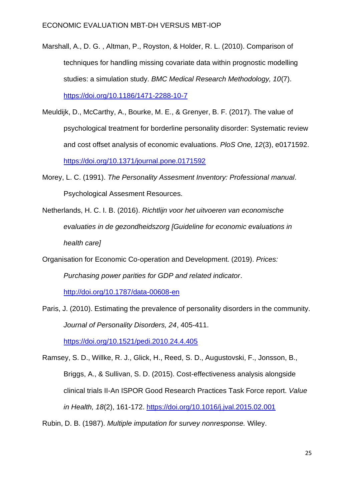- Marshall, A., D. G. , Altman, P., Royston, & Holder, R. L. (2010). Comparison of techniques for handling missing covariate data within prognostic modelling studies: a simulation study. *BMC Medical Research Methodology, 10*(7). <https://doi.org/10.1186/1471-2288-10-7>
- Meuldijk, D., McCarthy, A., Bourke, M. E., & Grenyer, B. F. (2017). The value of psychological treatment for borderline personality disorder: Systematic review and cost offset analysis of economic evaluations. *PloS One, 12*(3), e0171592. <https://doi.org/10.1371/journal.pone.0171592>
- Morey, L. C. (1991). *The Personality Assesment Inventory: Professional manual*. Psychological Assesment Resources.
- Netherlands, H. C. I. B. (2016). *Richtlijn voor het uitvoeren van economische evaluaties in de gezondheidszorg [Guideline for economic evaluations in health care]*

Organisation for Economic Co-operation and Development. (2019). *Prices: Purchasing power parities for GDP and related indicator*.

<http://doi.org/10.1787/data-00608-en>

Paris, J. (2010). Estimating the prevalence of personality disorders in the community. *Journal of Personality Disorders, 24*, 405-411.

<https://doi.org/10.1521/pedi.2010.24.4.405>

Ramsey, S. D., Willke, R. J., Glick, H., Reed, S. D., Augustovski, F., Jonsson, B., Briggs, A., & Sullivan, S. D. (2015). Cost-effectiveness analysis alongside clinical trials II-An ISPOR Good Research Practices Task Force report. *Value in Health, 18*(2), 161-172.<https://doi.org/10.1016/j.jval.2015.02.001>

Rubin, D. B. (1987). *Multiple imputation for survey nonresponse.* Wiley.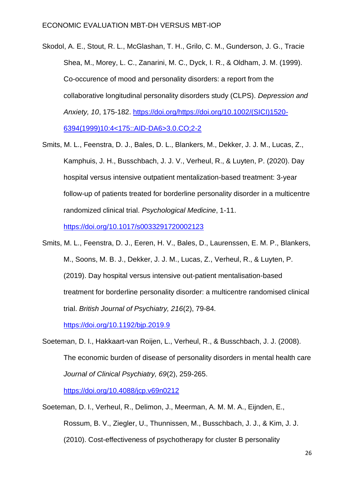- Skodol, A. E., Stout, R. L., McGlashan, T. H., Grilo, C. M., Gunderson, J. G., Tracie Shea, M., Morey, L. C., Zanarini, M. C., Dyck, I. R., & Oldham, J. M. (1999). Co-occurence of mood and personality disorders: a report from the collaborative longitudinal personality disorders study (CLPS). *Depression and Anxiety, 10*, 175-182. [https://doi.org/https://doi.org/10.1002/\(SICI\)1520-](https://doi.org/https:/doi.org/10.1002/(SICI)1520-6394(1999)10:4%3c175::AID-DA6%3e3.0.CO;2-2) [6394\(1999\)10:4<175::AID-DA6>3.0.CO;2-2](https://doi.org/https:/doi.org/10.1002/(SICI)1520-6394(1999)10:4%3c175::AID-DA6%3e3.0.CO;2-2)
- Smits, M. L., Feenstra, D. J., Bales, D. L., Blankers, M., Dekker, J. J. M., Lucas, Z., Kamphuis, J. H., Busschbach, J. J. V., Verheul, R., & Luyten, P. (2020). Day hospital versus intensive outpatient mentalization-based treatment: 3-year follow-up of patients treated for borderline personality disorder in a multicentre randomized clinical trial. *Psychological Medicine*, 1-11.

<https://doi.org/10.1017/s0033291720002123>

- Smits, M. L., Feenstra, D. J., Eeren, H. V., Bales, D., Laurenssen, E. M. P., Blankers, M., Soons, M. B. J., Dekker, J. J. M., Lucas, Z., Verheul, R., & Luyten, P. (2019). Day hospital versus intensive out-patient mentalisation-based treatment for borderline personality disorder: a multicentre randomised clinical trial. *British Journal of Psychiatry, 216*(2), 79-84. <https://doi.org/10.1192/bjp.2019.9>
- Soeteman, D. I., Hakkaart-van Roijen, L., Verheul, R., & Busschbach, J. J. (2008). The economic burden of disease of personality disorders in mental health care *Journal of Clinical Psychiatry, 69*(2), 259-265.

<https://doi.org/10.4088/jcp.v69n0212>

Soeteman, D. I., Verheul, R., Delimon, J., Meerman, A. M. M. A., Eijnden, E., Rossum, B. V., Ziegler, U., Thunnissen, M., Busschbach, J. J., & Kim, J. J. (2010). Cost-effectiveness of psychotherapy for cluster B personality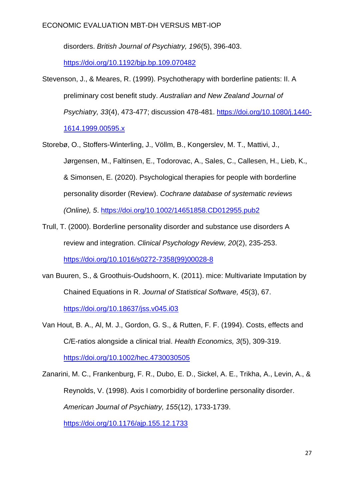disorders. *British Journal of Psychiatry, 196*(5), 396-403.

<https://doi.org/10.1192/bjp.bp.109.070482>

- Stevenson, J., & Meares, R. (1999). Psychotherapy with borderline patients: II. A preliminary cost benefit study. *Australian and New Zealand Journal of Psychiatry, 33*(4), 473-477; discussion 478-481. [https://doi.org/10.1080/j.1440-](https://doi.org/10.1080/j.1440-1614.1999.00595.x) [1614.1999.00595.x](https://doi.org/10.1080/j.1440-1614.1999.00595.x)
- Storebø, O., Stoffers-Winterling, J., Völlm, B., Kongerslev, M. T., Mattivi, J., Jørgensen, M., Faltinsen, E., Todorovac, A., Sales, C., Callesen, H., Lieb, K., & Simonsen, E. (2020). Psychological therapies for people with borderline personality disorder (Review). *Cochrane database of systematic reviews (Online), 5*.<https://doi.org/10.1002/14651858.CD012955.pub2>
- Trull, T. (2000). Borderline personality disorder and substance use disorders A review and integration. *Clinical Psychology Review, 20*(2), 235-253. [https://doi.org/10.1016/s0272-7358\(99\)00028-8](https://doi.org/10.1016/s0272-7358(99)00028-8)
- van Buuren, S., & Groothuis-Oudshoorn, K. (2011). mice: Multivariate Imputation by Chained Equations in R. *Journal of Statistical Software, 45*(3), 67. <https://doi.org/10.18637/jss.v045.i03>
- Van Hout, B. A., Al, M. J., Gordon, G. S., & Rutten, F. F. (1994). Costs, effects and C/E-ratios alongside a clinical trial. *Health Economics, 3*(5), 309-319. <https://doi.org/10.1002/hec.4730030505>
- Zanarini, M. C., Frankenburg, F. R., Dubo, E. D., Sickel, A. E., Trikha, A., Levin, A., & Reynolds, V. (1998). Axis I comorbidity of borderline personality disorder. *American Journal of Psychiatry, 155*(12), 1733-1739. <https://doi.org/10.1176/ajp.155.12.1733>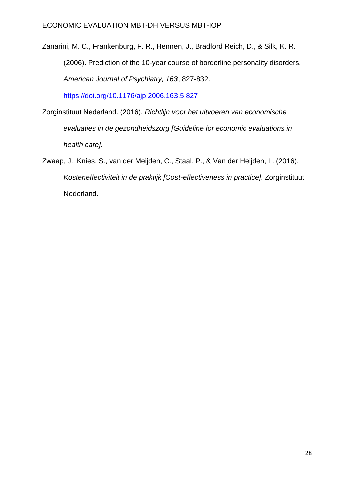Zanarini, M. C., Frankenburg, F. R., Hennen, J., Bradford Reich, D., & Silk, K. R. (2006). Prediction of the 10-year course of borderline personality disorders. *American Journal of Psychiatry, 163*, 827-832.

<https://doi.org/10.1176/ajp.2006.163.5.827>

- Zorginstituut Nederland. (2016). *Richtlijn voor het uitvoeren van economische evaluaties in de gezondheidszorg [Guideline for economic evaluations in health care].*
- Zwaap, J., Knies, S., van der Meijden, C., Staal, P., & Van der Heijden, L. (2016). *Kosteneffectiviteit in de praktijk [Cost-effectiveness in practice]*. Zorginstituut Nederland.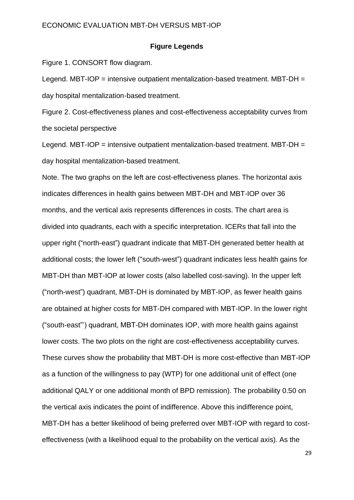# **Figure Legends**

Figure 1. CONSORT flow diagram.

Legend. MBT-IOP = intensive outpatient mentalization-based treatment. MBT-DH = day hospital mentalization-based treatment.

Figure 2. Cost-effectiveness planes and cost-effectiveness acceptability curves from the societal perspective

Legend. MBT-IOP = intensive outpatient mentalization-based treatment. MBT-DH = day hospital mentalization-based treatment.

Note. The two graphs on the left are cost-effectiveness planes. The horizontal axis indicates differences in health gains between MBT-DH and MBT-IOP over 36 months, and the vertical axis represents differences in costs. The chart area is divided into quadrants, each with a specific interpretation. ICERs that fall into the upper right ("north-east") quadrant indicate that MBT-DH generated better health at additional costs; the lower left ("south-west") quadrant indicates less health gains for MBT-DH than MBT-IOP at lower costs (also labelled cost-saving). In the upper left ("north-west") quadrant, MBT-DH is dominated by MBT-IOP, as fewer health gains are obtained at higher costs for MBT-DH compared with MBT-IOP. In the lower right ("south-east"') quadrant, MBT-DH dominates IOP, with more health gains against lower costs. The two plots on the right are cost-effectiveness acceptability curves. These curves show the probability that MBT-DH is more cost-effective than MBT-IOP as a function of the willingness to pay (WTP) for one additional unit of effect (one additional QALY or one additional month of BPD remission). The probability 0.50 on the vertical axis indicates the point of indifference. Above this indifference point, MBT-DH has a better likelihood of being preferred over MBT-IOP with regard to costeffectiveness (with a likelihood equal to the probability on the vertical axis). As the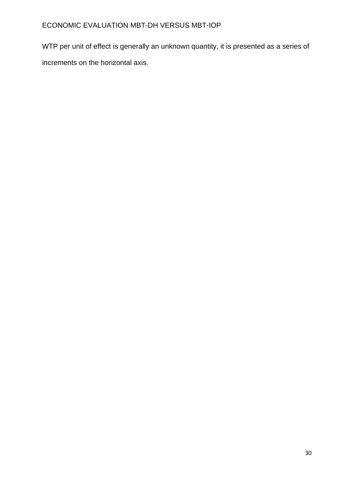WTP per unit of effect is generally an unknown quantity, it is presented as a series of increments on the horizontal axis.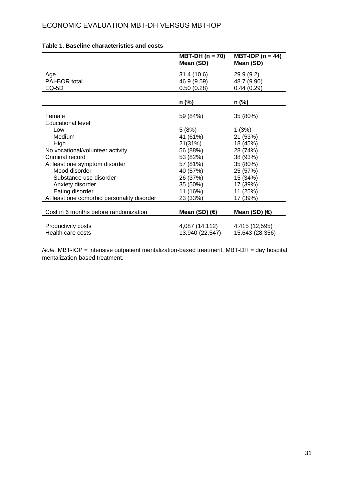|                                            | $MBT-DH (n = 70)$<br>Mean (SD) | $MBT-IOP (n = 44)$<br>Mean (SD) |
|--------------------------------------------|--------------------------------|---------------------------------|
| Age                                        | 31.4(10.6)                     | 29.9 (9.2)                      |
| PAI-BOR total                              | 46.9 (9.59)                    | 48.7 (9.90)                     |
| EQ-5D                                      | 0.50(0.28)                     | 0.44(0.29)                      |
|                                            | n (%)                          | n (%)                           |
| Female                                     | 59 (84%)                       | 35 (80%)                        |
| Educational level                          |                                |                                 |
| Low                                        | 5(8%)                          | 1(3%)                           |
| Medium                                     | 41 (61%)                       | 21 (53%)                        |
| High                                       | 21(31%)                        | 18 (45%)                        |
| No vocational/volunteer activity           | 56 (88%)                       | 28 (74%)                        |
| Criminal record                            | 53 (82%)                       | 38 (93%)                        |
| At least one symptom disorder              | 57 (81%)                       | 35 (80%)                        |
| Mood disorder                              | 40 (57%)                       | 25 (57%)                        |
| Substance use disorder                     | 26 (37%)                       | 15 (34%)                        |
| Anxiety disorder                           | 35 (50%)                       | 17 (39%)                        |
| Eating disorder                            | 11 (16%)                       | 11 (25%)                        |
| At least one comorbid personality disorder | 23 (33%)                       | 17 (39%)                        |
| Cost in 6 months before randomization      | Mean (SD) $(E)$                | Mean (SD) $(€)$                 |
| Productivity costs                         | 4,087 (14,112)                 | 4,415 (12,595)                  |
| Health care costs                          | 13,940 (22,547)                | 15,643 (28,356)                 |

# **Table 1. Baseline characteristics and costs**

*Note.* MBT-IOP = intensive outpatient mentalization-based treatment. MBT-DH = day hospital mentalization-based treatment.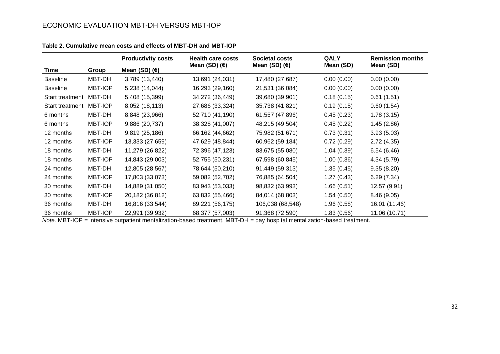|                        |         | <b>Productivity costs</b> | <b>Health care costs</b> | <b>Societal costs</b> | QALY       | <b>Remission months</b><br>Mean (SD) |  |
|------------------------|---------|---------------------------|--------------------------|-----------------------|------------|--------------------------------------|--|
| Time                   | Group   | Mean (SD) $(E)$           | Mean (SD) $(E)$          | Mean (SD) $(E)$       | Mean (SD)  |                                      |  |
| <b>Baseline</b>        | MBT-DH  | 3,789 (13,440)            | 13,691 (24,031)          | 17,480 (27,687)       | 0.00(0.00) | 0.00(0.00)                           |  |
| <b>Baseline</b>        | MBT-IOP | 5,238 (14,044)            | 16,293 (29,160)          | 21,531 (36,084)       | 0.00(0.00) | 0.00(0.00)                           |  |
| Start treatment        | MBT-DH  | 5,408 (15,399)            | 34,272 (36,449)          | 39,680 (39,901)       | 0.18(0.15) | 0.61(1.51)                           |  |
| <b>Start treatment</b> | MBT-IOP | 8,052 (18,113)            | 27,686 (33,324)          | 35,738 (41,821)       | 0.19(0.15) | 0.60(1.54)                           |  |
| 6 months               | MBT-DH  | 8,848 (23,966)            | 52,710 (41,190)          | 61,557 (47,896)       | 0.45(0.23) | 1.78(3.15)                           |  |
| 6 months               | MBT-IOP | 9,886 (20,737)            | 38,328 (41,007)          | 48,215 (49,504)       | 0.45(0.22) | 1.45(2.86)                           |  |
| 12 months              | MBT-DH  | 9,819 (25,186)            | 66,162 (44,662)          | 75,982 (51,671)       | 0.73(0.31) | 3.93(5.03)                           |  |
| 12 months              | MBT-IOP | 13,333 (27,659)           | 47,629 (48,844)          | 60,962 (59,184)       | 0.72(0.29) | 2.72(4.35)                           |  |
| 18 months              | MBT-DH  | 11,279 (26,822)           | 72,396 (47,123)          | 83,675 (55,080)       | 1.04(0.39) | 6.54(6.46)                           |  |
| 18 months              | MBT-IOP | 14,843 (29,003)           | 52,755 (50,231)          | 67,598 (60,845)       | 1.00(0.36) | 4.34 (5.79)                          |  |
| 24 months              | MBT-DH  | 12,805 (28,567)           | 78,644 (50,210)          | 91,449 (59,313)       | 1.35(0.45) | 9.35(8.20)                           |  |
| 24 months              | MBT-IOP | 17,803 (33,073)           | 59,082 (52,702)          | 76,885 (64,504)       | 1.27(0.43) | 6.29(7.34)                           |  |
| 30 months              | MBT-DH  | 14,889 (31,050)           | 83,943 (53,033)          | 98,832 (63,993)       | 1.66(0.51) | 12.57 (9.91)                         |  |
| 30 months              | MBT-IOP | 20,182 (36,812)           | 63,832 (55,466)          | 84,014 (68,803)       | 1.54(0.50) | 8.46(9.05)                           |  |
| 36 months              | MBT-DH  | 16,816 (33,544)           | 89,221 (56,175)          | 106,038 (68,548)      | 1.96(0.58) | 16.01 (11.46)                        |  |
| 36 months              | MBT-IOP | 22,991 (39,932)           | 68,377 (57,003)          | 91,368 (72,590)       | 1.83(0.56) | 11.06 (10.71)                        |  |

**Table 2. Cumulative mean costs and effects of MBT-DH and MBT-IOP**

*Note.* MBT-IOP = intensive outpatient mentalization-based treatment. MBT-DH = day hospital mentalization-based treatment.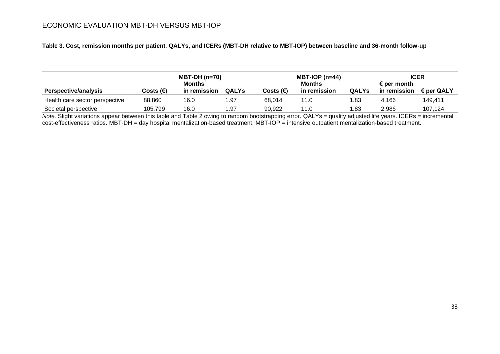**Table 3. Cost, remission months per patient, QALYs, and ICERs (MBT-DH relative to MBT-IOP) between baseline and 36-month follow-up**

|                                | $MBT-DH (n=70)$ |                               |              | $MBT-IOP(n=44)$ |                               |              | <b>ICER</b>                          |                     |
|--------------------------------|-----------------|-------------------------------|--------------|-----------------|-------------------------------|--------------|--------------------------------------|---------------------|
| Perspective/analysis           | Costs (€)       | <b>Months</b><br>in remission | <b>QALYS</b> | Costs $(E)$     | <b>Months</b><br>in remission | <b>QALYS</b> | $\epsilon$ per month<br>in remission | $\epsilon$ per QALY |
| Health care sector perspective | 88,860          | 16.0                          | 1.97         | 68.014          | 11.0                          | 1.83         | 4.166                                | 149,411             |
| Societal perspective           | 105,799         | 16.0                          | 1.97         | 90.922          | 11.0                          | 83.،         | 2.986                                | 107.124             |

*Note.* Slight variations appear between this table and Table 2 owing to random bootstrapping error. QALYs = quality adjusted life years. ICERs = incremental cost-effectiveness ratios. MBT-DH = day hospital mentalization-based treatment. MBT-IOP = intensive outpatient mentalization-based treatment.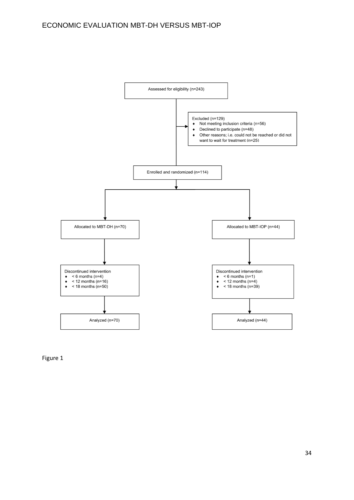

Figure 1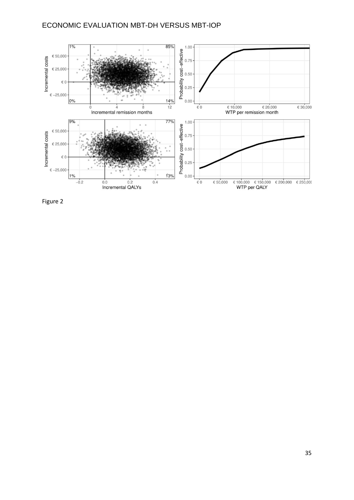

Figure 2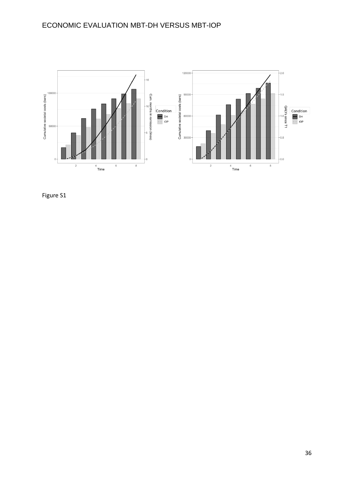

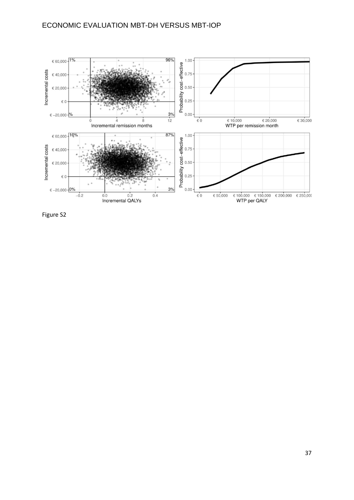

Figure S2